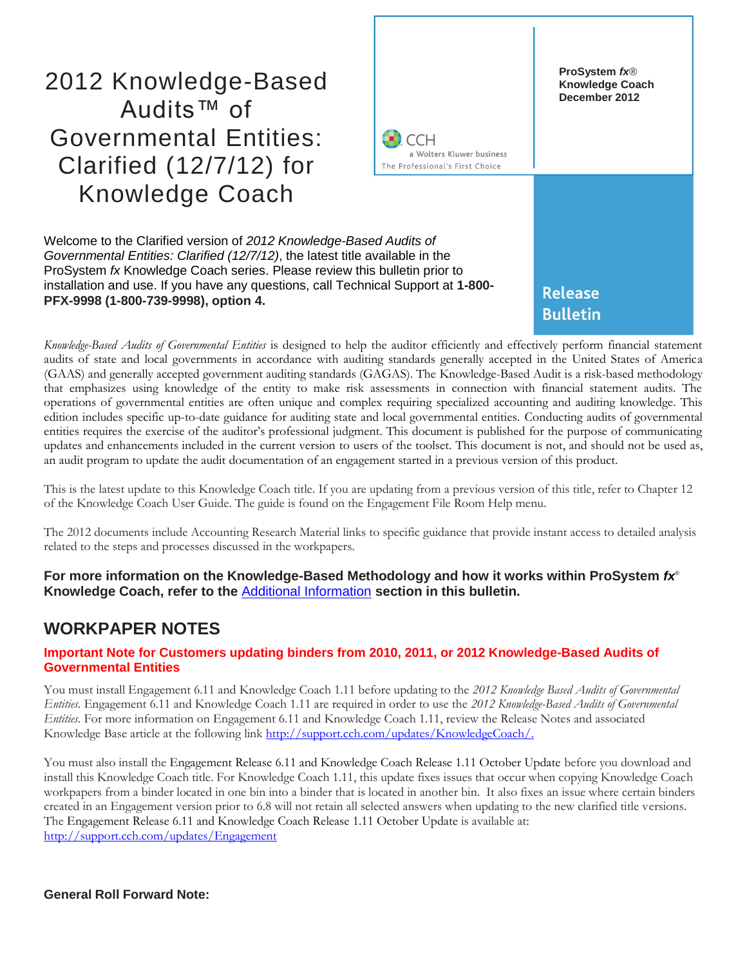# 2012 Knowledge-Based Audits™ of Governmental Entities: Clarified (12/7/12) for Knowledge Coach



Welcome to the Clarified version of *2012 Knowledge-Based Audits of Governmental Entities: Clarified (12/7/12)*, the latest title available in the ProSystem *fx* Knowledge Coach series. Please review this bulletin prior to installation and use. If you have any questions, call Technical Support at **1-800- PFX-9998 (1-800-739-9998), option 4.**

*Knowledge-Based Audits of Governmental Entities* is designed to help the auditor efficiently and effectively perform financial statement audits of state and local governments in accordance with auditing standards generally accepted in the United States of America (GAAS) and generally accepted government auditing standards (GAGAS). The Knowledge-Based Audit is a risk-based methodology that emphasizes using knowledge of the entity to make risk assessments in connection with financial statement audits. The operations of governmental entities are often unique and complex requiring specialized accounting and auditing knowledge. This edition includes specific up-to-date guidance for auditing state and local governmental entities. Conducting audits of governmental entities requires the exercise of the auditor's professional judgment. This document is published for the purpose of communicating updates and enhancements included in the current version to users of the toolset. This document is not, and should not be used as, an audit program to update the audit documentation of an engagement started in a previous version of this product.

This is the latest update to this Knowledge Coach title. If you are updating from a previous version of this title, refer to Chapter 12 of the Knowledge Coach User Guide. The guide is found on the Engagement File Room Help menu.

The 2012 documents include Accounting Research Material links to specific guidance that provide instant access to detailed analysis related to the steps and processes discussed in the workpapers.

**For more information on the Knowledge-Based Methodology and how it works within ProSystem** *fx*® **Knowledge Coach, refer to the** [Additional Information](#page-1-0) **section in this bulletin.**

# **WORKPAPER NOTES**

### **Important Note for Customers updating binders from 2010, 2011, or 2012 Knowledge-Based Audits of Governmental Entities**

You must install Engagement 6.11 and Knowledge Coach 1.11 before updating to the *2012 Knowledge Based Audits of Governmental Entities*. Engagement 6.11 and Knowledge Coach 1.11 are required in order to use the *2012 Knowledge-Based Audits of Governmental Entities*. For more information on Engagement 6.11 and Knowledge Coach 1.11, review the Release Notes and associated Knowledge Base article at the following link [http://support.cch.com/updates/KnowledgeCoach/.](http://support.cch.com/updates/KnowledgeCoach/) 

You must also install the Engagement Release 6.11 and Knowledge Coach Release 1.11 October Update before you download and install this Knowledge Coach title. For Knowledge Coach 1.11, this update fixes issues that occur when copying Knowledge Coach workpapers from a binder located in one bin into a binder that is located in another bin. It also fixes an issue where certain binders created in an Engagement version prior to 6.8 will not retain all selected answers when updating to the new clarified title versions. The Engagement Release 6.11 and Knowledge Coach Release 1.11 October Update is available at: [http://support.cch.com/updates/Engagement](http://support.cch.com/updates/engagement)

**General Roll Forward Note:**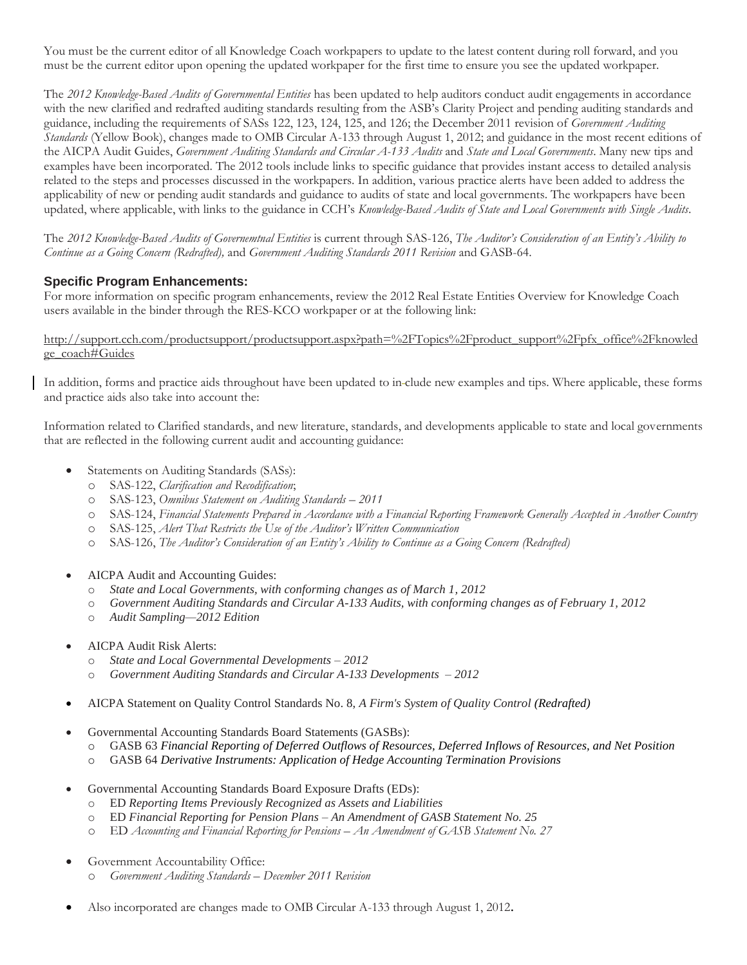You must be the current editor of all Knowledge Coach workpapers to update to the latest content during roll forward, and you must be the current editor upon opening the updated workpaper for the first time to ensure you see the updated workpaper.

The *2012 Knowledge-Based Audits of Governmental Entities* has been updated to help auditors conduct audit engagements in accordance with the new clarified and redrafted auditing standards resulting from the ASB's Clarity Project and pending auditing standards and guidance, including the requirements of SASs 122, 123, 124, 125, and 126; the December 2011 revision of *Government Auditing Standards* (Yellow Book), changes made to OMB Circular A-133 through August 1, 2012; and guidance in the most recent editions of the AICPA Audit Guides, *Government Auditing Standards and Circular A-133 Audits* and *State and Local Governments*. Many new tips and examples have been incorporated. The 2012 tools include links to specific guidance that provides instant access to detailed analysis related to the steps and processes discussed in the workpapers. In addition, various practice alerts have been added to address the applicability of new or pending audit standards and guidance to audits of state and local governments. The workpapers have been updated, where applicable, with links to the guidance in CCH's *Knowledge-Based Audits of State and Local Governments with Single Audits*.

The *2012 Knowledge-Based Audits of Governemtnal Entities* is current through SAS-126, *The Auditor's Consideration of an Entity's Ability to Continue as a Going Concern (Redrafted),* and *Government Auditing Standards 2011 Revision* and GASB-64.

### **Specific Program Enhancements:**

For more information on specific program enhancements, review the 2012 Real Estate Entities Overview for Knowledge Coach users available in the binder through the RES-KCO workpaper or at the following link:

#### http://support.cch.com/productsupport/productsupport.aspx?path=%2FTopics%2Fproduct\_support%2Fpfx\_office%2Fknowled ge\_coach#Guides

In addition, forms and practice aids throughout have been updated to in clude new examples and tips. Where applicable, these forms and practice aids also take into account the:

Information related to Clarified standards, and new literature, standards, and developments applicable to state and local governments that are reflected in the following current audit and accounting guidance:

- Statements on Auditing Standards (SASs):
	- o SAS-122, *Clarification and Recodification*;
	- o SAS-123, *Omnibus Statement on Auditing Standards – 2011*
	- o SAS-124, *Financial Statements Prepared in Accordance with a Financial Reporting Framework Generally Accepted in Another Country*
	- o SAS-125, *Alert That Restricts the Use of the Auditor's Written Communication*
	- o SAS-126, *The Auditor's Consideration of an Entity's Ability to Continue as a Going Concern (Redrafted)*
- AICPA Audit and Accounting Guides:
	- o *State and Local Governments, with conforming changes as of March 1, 2012*
	- o *Government Auditing Standards and Circular A-133 Audits, with conforming changes as of February 1, 2012*
	- o *Audit Sampling—2012 Edition*
- AICPA Audit Risk Alerts:
	- o *State and Local Governmental Developments – 2012*
	- o *[Government Auditing Standards and Circular A-133 Developments](http://www.accountingresearchmanager.com/wk/rm.nsf/8befeab843ef00cd072564ac0082d2ad/a38491425ed4d0518625764100493761?OpenDocument&rnm=184359) – 2012*
- AICPA Statement on Quality Control Standards No. 8, *A Firm's System of Quality Control (Redrafted)*
- Governmental Accounting Standards Board Statements (GASBs):
	- o GASB 63 *Financial Reporting of Deferred Outflows of Resources, Deferred Inflows of Resources, and Net Position*
	- o GASB 64 *Derivative Instruments: Application of Hedge Accounting Termination Provisions*
- Governmental Accounting Standards Board Exposure Drafts (EDs):
	- o ED *Reporting Items Previously Recognized as Assets and Liabilities*
	- o ED *Financial Reporting for Pension Plans – An Amendment of GASB Statement No. 25*
	- o ED *Accounting and Financial Reporting for Pensions – An Amendment of GASB Statement No. 27*
- Government Accountability Office:
	- o *Government Auditing Standards – December 2011 Revision*
- <span id="page-1-0"></span>Also incorporated are changes made to OMB Circular A-133 through August 1, 2012.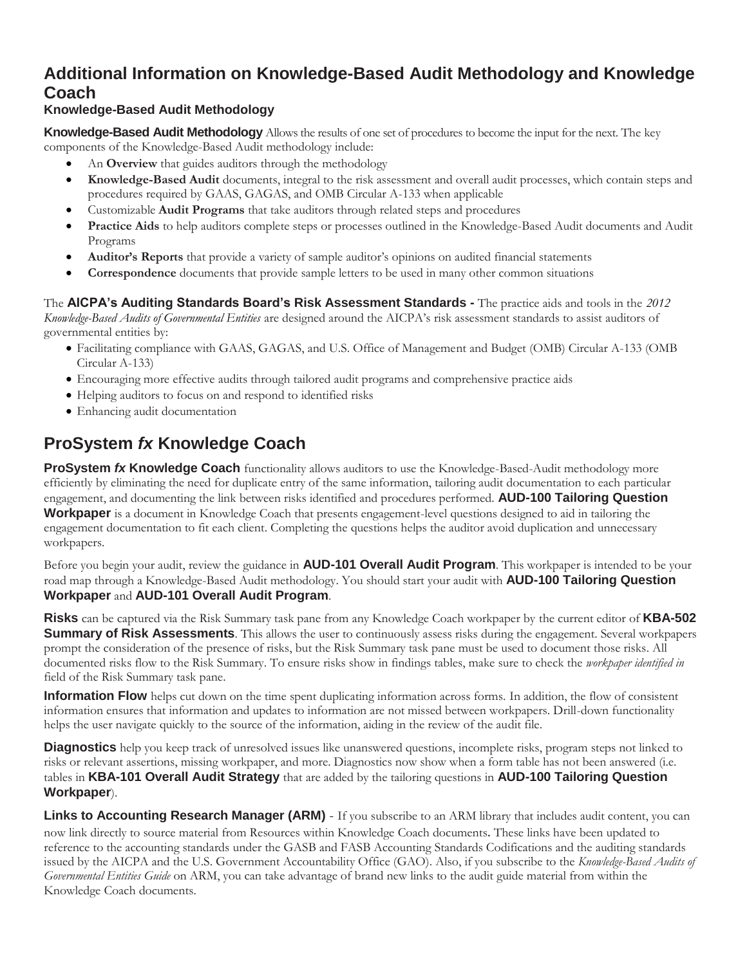# **Additional Information on Knowledge-Based Audit Methodology and Knowledge Coach**

# **Knowledge-Based Audit Methodology**

**Knowledge-Based Audit Methodology** Allows the results of one set of procedures to become the input for the next. The key components of the Knowledge-Based Audit methodology include:

- An **Overview** that guides auditors through the methodology
- **Knowledge-Based Audit** documents, integral to the risk assessment and overall audit processes, which contain steps and procedures required by GAAS, GAGAS, and OMB Circular A-133 when applicable
- Customizable **Audit Programs** that take auditors through related steps and procedures
- **Practice Aids** to help auditors complete steps or processes outlined in the Knowledge-Based Audit documents and Audit Programs
- **Auditor's Reports** that provide a variety of sample auditor's opinions on audited financial statements
- **Correspondence** documents that provide sample letters to be used in many other common situations

The **AICPA's Auditing Standards Board's Risk Assessment Standards -** The practice aids and tools in the *2012 Knowledge-Based Audits of Governmental Entities* are designed around the AICPA's risk assessment standards to assist auditors of governmental entities by:

- Facilitating compliance with GAAS, GAGAS, and U.S. Office of Management and Budget (OMB) Circular A-133 (OMB Circular A-133)
- Encouraging more effective audits through tailored audit programs and comprehensive practice aids
- Helping auditors to focus on and respond to identified risks
- Enhancing audit documentation

# **ProSystem** *fx* **Knowledge Coach**

**ProSystem** *fx* **Knowledge Coach** functionality allows auditors to use the Knowledge-Based-Audit methodology more efficiently by eliminating the need for duplicate entry of the same information, tailoring audit documentation to each particular engagement, and documenting the link between risks identified and procedures performed. **AUD-100 Tailoring Question Workpaper** is a document in Knowledge Coach that presents engagement-level questions designed to aid in tailoring the engagement documentation to fit each client. Completing the questions helps the auditor avoid duplication and unnecessary workpapers.

Before you begin your audit, review the guidance in **AUD-101 Overall Audit Program**. This workpaper is intended to be your road map through a Knowledge-Based Audit methodology. You should start your audit with **AUD-100 Tailoring Question Workpaper** and **AUD-101 Overall Audit Program**.

**Risks** can be captured via the Risk Summary task pane from any Knowledge Coach workpaper by the current editor of **KBA-502 Summary of Risk Assessments**. This allows the user to continuously assess risks during the engagement. Several workpapers prompt the consideration of the presence of risks, but the Risk Summary task pane must be used to document those risks. All documented risks flow to the Risk Summary. To ensure risks show in findings tables, make sure to check the *workpaper identified in* field of the Risk Summary task pane.

**Information Flow** helps cut down on the time spent duplicating information across forms. In addition, the flow of consistent information ensures that information and updates to information are not missed between workpapers. Drill-down functionality helps the user navigate quickly to the source of the information, aiding in the review of the audit file.

**Diagnostics** help you keep track of unresolved issues like unanswered questions, incomplete risks, program steps not linked to risks or relevant assertions, missing workpaper, and more. Diagnostics now show when a form table has not been answered (i.e. tables in **KBA-101 Overall Audit Strategy** that are added by the tailoring questions in **AUD-100 Tailoring Question Workpaper**).

**Links to Accounting Research Manager (ARM)** - If you subscribe to an ARM library that includes audit content, you can now link directly to source material from Resources within Knowledge Coach documents. These links have been updated to reference to the accounting standards under the GASB and FASB Accounting Standards Codifications and the auditing standards issued by the AICPA and the U.S. Government Accountability Office (GAO). Also, if you subscribe to the *Knowledge-Based Audits of Governmental Entities Guide* on ARM, you can take advantage of brand new links to the audit guide material from within the Knowledge Coach documents.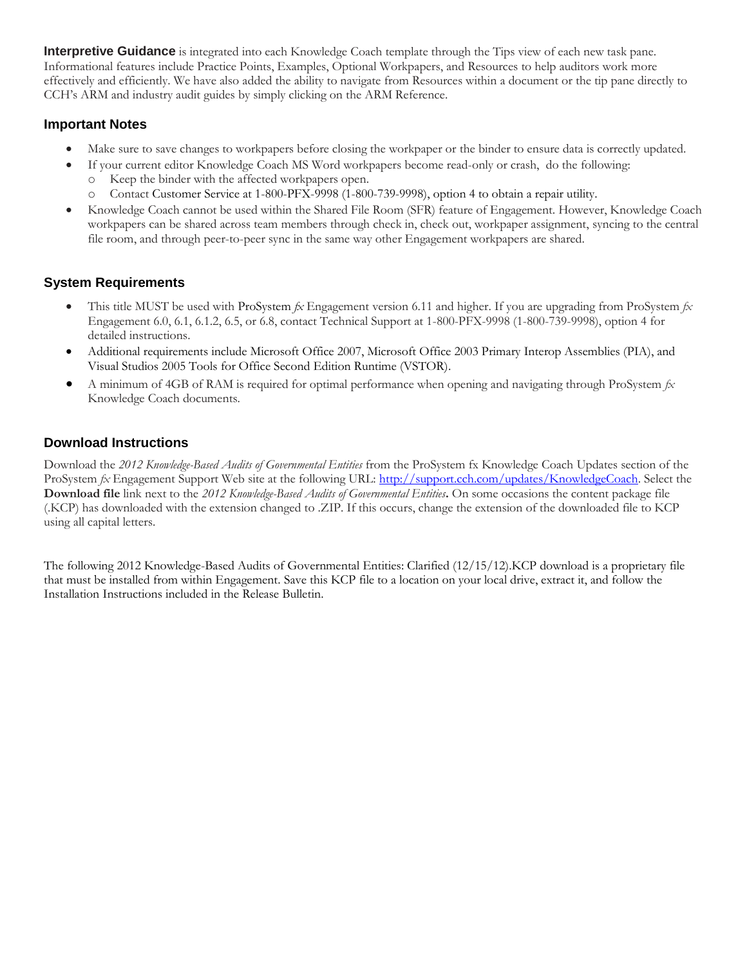**Interpretive Guidance** is integrated into each Knowledge Coach template through the Tips view of each new task pane. Informational features include Practice Points, Examples, Optional Workpapers, and Resources to help auditors work more effectively and efficiently. We have also added the ability to navigate from Resources within a document or the tip pane directly to CCH's ARM and industry audit guides by simply clicking on the ARM Reference.

# **Important Notes**

- Make sure to save changes to workpapers before closing the workpaper or the binder to ensure data is correctly updated.
- If your current editor Knowledge Coach MS Word workpapers become read-only or crash, do the following:
	- o Keep the binder with the affected workpapers open.
	- o Contact Customer Service at 1-800-PFX-9998 (1-800-739-9998), option 4 to obtain a repair utility.
- Knowledge Coach cannot be used within the Shared File Room (SFR) feature of Engagement. However, Knowledge Coach workpapers can be shared across team members through check in, check out, workpaper assignment, syncing to the central file room, and through peer-to-peer sync in the same way other Engagement workpapers are shared.

# **System Requirements**

- This title MUST be used with ProSystem *fx* Engagement version 6.11 and higher. If you are upgrading from ProSystem *fx*  Engagement 6.0, 6.1, 6.1.2, 6.5, or 6.8, contact Technical Support at 1-800-PFX-9998 (1-800-739-9998), option 4 for detailed instructions.
- Additional requirements include Microsoft Office 2007, Microsoft Office 2003 Primary Interop Assemblies (PIA), and Visual Studios 2005 Tools for Office Second Edition Runtime (VSTOR).
- A minimum of 4GB of RAM is required for optimal performance when opening and navigating through ProSystem *fx*  Knowledge Coach documents.

# **Download Instructions**

Download the *2012 Knowledge-Based Audits of Governmental Entities* from the ProSystem fx Knowledge Coach Updates section of the ProSystem *fx* Engagement Support Web site at the following URL: [http://support.cch.com/updates/KnowledgeCoach.](http://support.cch.com/updates/KnowledgeCoach) Select the **Download file** link next to the *2012 Knowledge-Based Audits of Governmental Entities***.** On some occasions the content package file (.KCP) has downloaded with the extension changed to .ZIP. If this occurs, change the extension of the downloaded file to KCP using all capital letters.

The following 2012 Knowledge-Based Audits of Governmental Entities: Clarified (12/15/12).KCP download is a proprietary file that must be installed from within Engagement. Save this KCP file to a location on your local drive, extract it, and follow the Installation Instructions included in the Release Bulletin.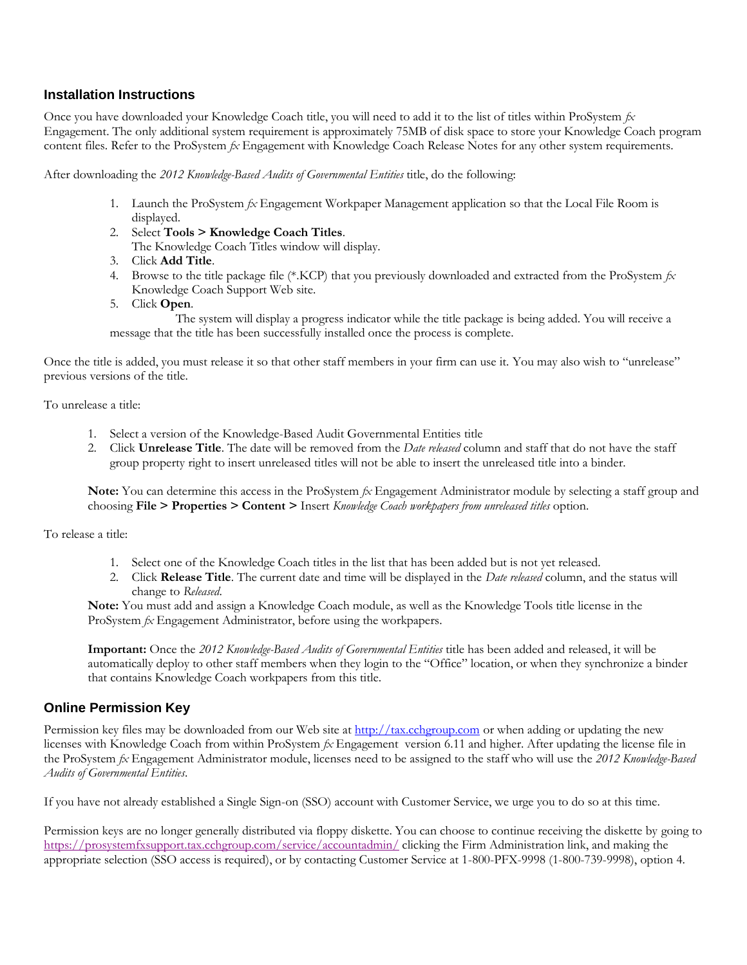#### **Installation Instructions**

Once you have downloaded your Knowledge Coach title, you will need to add it to the list of titles within ProSystem *fx*  Engagement. The only additional system requirement is approximately 75MB of disk space to store your Knowledge Coach program content files. Refer to the ProSystem *fx* Engagement with Knowledge Coach Release Notes for any other system requirements.

After downloading the *2012 Knowledge-Based Audits of Governmental Entities* title, do the following:

- 1. Launch the ProSystem *fx* Engagement Workpaper Management application so that the Local File Room is displayed.
- 2. Select **Tools > Knowledge Coach Titles**.

The Knowledge Coach Titles window will display.

- 3. Click **Add Title**.
- 4. Browse to the title package file (\*.KCP) that you previously downloaded and extracted from the ProSystem *fx*  Knowledge Coach Support Web site.
- 5. Click **Open**.

The system will display a progress indicator while the title package is being added. You will receive a message that the title has been successfully installed once the process is complete.

Once the title is added, you must release it so that other staff members in your firm can use it. You may also wish to "unrelease" previous versions of the title.

To unrelease a title:

- 1. Select a version of the Knowledge-Based Audit Governmental Entities title
- 2. Click **Unrelease Title**. The date will be removed from the *Date released* column and staff that do not have the staff group property right to insert unreleased titles will not be able to insert the unreleased title into a binder.

**Note:** You can determine this access in the ProSystem *fx* Engagement Administrator module by selecting a staff group and choosing **File > Properties > Content >** Insert *Knowledge Coach workpapers from unreleased titles* option.

To release a title:

- 1. Select one of the Knowledge Coach titles in the list that has been added but is not yet released.
- 2. Click **Release Title**. The current date and time will be displayed in the *Date released* column, and the status will change to *Released*.

**Note:** You must add and assign a Knowledge Coach module, as well as the Knowledge Tools title license in the ProSystem *fx* Engagement Administrator, before using the workpapers.

**Important:** Once the *2012 Knowledge-Based Audits of Governmental Entities* title has been added and released, it will be automatically deploy to other staff members when they login to the "Office" location, or when they synchronize a binder that contains Knowledge Coach workpapers from this title.

### **Online Permission Key**

Permission key files may be downloaded from our Web site a[t http://tax.cchgroup.com](http://tax.cchgroup.com/) or when adding or updating the new licenses with Knowledge Coach from within ProSystem *fx* Engagement version 6.11 and higher. After updating the license file in the ProSystem *fx* Engagement Administrator module, licenses need to be assigned to the staff who will use the *2012 Knowledge-Based Audits of Governmental Entities*.

If you have not already established a Single Sign-on (SSO) account with Customer Service, we urge you to do so at this time.

Permission keys are no longer generally distributed via floppy diskette. You can choose to continue receiving the diskette by going to <https://prosystemfxsupport.tax.cchgroup.com/service/accountadmin/> clicking the Firm Administration link, and making the appropriate selection (SSO access is required), or by contacting Customer Service at 1-800-PFX-9998 (1-800-739-9998), option 4.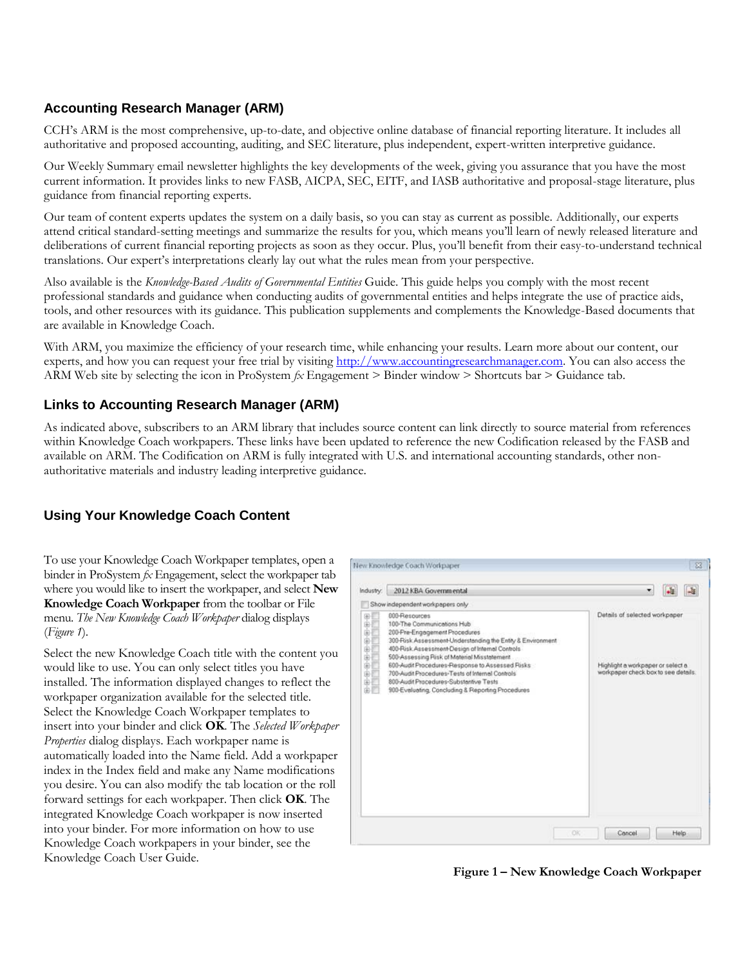### **Accounting Research Manager (ARM)**

CCH's ARM is the most comprehensive, up-to-date, and objective online database of financial reporting literature. It includes all authoritative and proposed accounting, auditing, and SEC literature, plus independent, expert-written interpretive guidance.

Our Weekly Summary email newsletter highlights the key developments of the week, giving you assurance that you have the most current information. It provides links to new FASB, AICPA, SEC, EITF, and IASB authoritative and proposal-stage literature, plus guidance from financial reporting experts.

Our team of content experts updates the system on a daily basis, so you can stay as current as possible. Additionally, our experts attend critical standard-setting meetings and summarize the results for you, which means you'll learn of newly released literature and deliberations of current financial reporting projects as soon as they occur. Plus, you'll benefit from their easy-to-understand technical translations. Our expert's interpretations clearly lay out what the rules mean from your perspective.

Also available is the *Knowledge-Based Audits of Governmental Entities* Guide. This guide helps you comply with the most recent professional standards and guidance when conducting audits of governmental entities and helps integrate the use of practice aids, tools, and other resources with its guidance. This publication supplements and complements the Knowledge-Based documents that are available in Knowledge Coach.

With ARM, you maximize the efficiency of your research time, while enhancing your results. Learn more about our content, our experts, and how you can request your free trial by visiting [http://www.accountingresearchmanager.com.](http://www.accountingresearchmanager.com/) You can also access the ARM Web site by selecting the icon in ProSystem *fx* Engagement > Binder window > Shortcuts bar > Guidance tab.

### **Links to Accounting Research Manager (ARM)**

As indicated above, subscribers to an ARM library that includes source content can link directly to source material from references within Knowledge Coach workpapers. These links have been updated to reference the new Codification released by the FASB and available on ARM. The Codification on ARM is fully integrated with U.S. and international accounting standards, other nonauthoritative materials and industry leading interpretive guidance.

# **Using Your Knowledge Coach Content**

To use your Knowledge Coach Workpaper templates, open a binder in ProSystem *fx* Engagement, select the workpaper tab where you would like to insert the workpaper, and select **New Knowledge Coach Workpaper** from the toolbar or File menu. *The New Knowledge Coach Workpaper* dialog displays (*Figure 1*).

Select the new Knowledge Coach title with the content you would like to use. You can only select titles you have installed. The information displayed changes to reflect the workpaper organization available for the selected title. Select the Knowledge Coach Workpaper templates to insert into your binder and click **OK**. The *Selected Workpaper Properties* dialog displays. Each workpaper name is automatically loaded into the Name field. Add a workpaper index in the Index field and make any Name modifications you desire. You can also modify the tab location or the roll forward settings for each workpaper. Then click **OK**. The integrated Knowledge Coach workpaper is now inserted into your binder. For more information on how to use Knowledge Coach workpapers in your binder, see the Knowledge Coach User Guide.



**Figure 1 – New Knowledge Coach Workpaper**